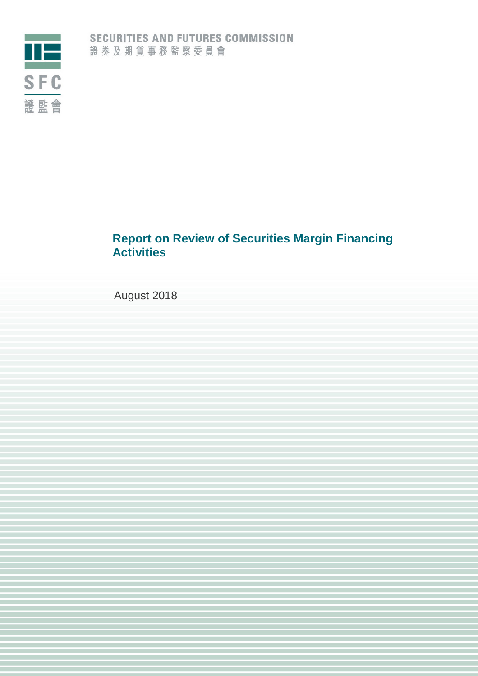

# **Report on Review of Securities Margin Financing Activities**

August 2018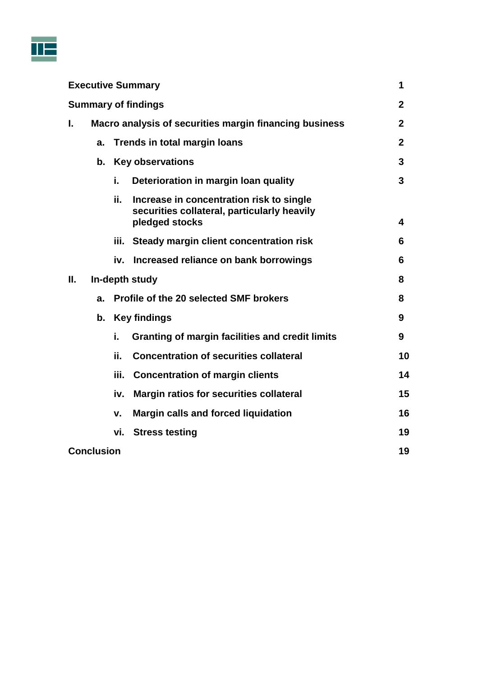

|                            |                   |      | <b>Executive Summary</b>                                                                                  | 1            |
|----------------------------|-------------------|------|-----------------------------------------------------------------------------------------------------------|--------------|
| <b>Summary of findings</b> |                   |      | $\mathbf{2}$                                                                                              |              |
| ı.                         |                   |      | Macro analysis of securities margin financing business                                                    | $\mathbf{2}$ |
|                            | a.                |      | <b>Trends in total margin loans</b>                                                                       | $\mathbf{2}$ |
|                            | b.                |      | <b>Key observations</b>                                                                                   | 3            |
|                            |                   | i.   | Deterioration in margin loan quality                                                                      | 3            |
|                            |                   | ii.  | Increase in concentration risk to single<br>securities collateral, particularly heavily<br>pledged stocks | 4            |
|                            |                   |      | iii. Steady margin client concentration risk                                                              | 6            |
|                            |                   | iv.  | Increased reliance on bank borrowings                                                                     | 6            |
| Ш.                         |                   |      | In-depth study                                                                                            | 8            |
|                            | a.                |      | Profile of the 20 selected SMF brokers                                                                    | 8            |
|                            | b.                |      | <b>Key findings</b>                                                                                       | 9            |
|                            |                   | i.   | Granting of margin facilities and credit limits                                                           | 9            |
|                            |                   | ii.  | <b>Concentration of securities collateral</b>                                                             | 10           |
|                            |                   | iii. | <b>Concentration of margin clients</b>                                                                    | 14           |
|                            |                   | iv.  | <b>Margin ratios for securities collateral</b>                                                            | 15           |
|                            |                   | v.   | <b>Margin calls and forced liquidation</b>                                                                | 16           |
|                            |                   | vi.  | <b>Stress testing</b>                                                                                     | 19           |
|                            | <b>Conclusion</b> |      |                                                                                                           | 19           |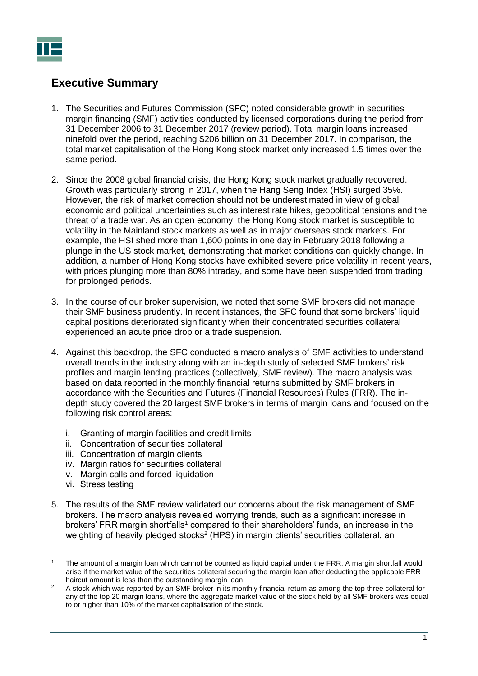

## <span id="page-2-0"></span>**Executive Summary**

- 1. The Securities and Futures Commission (SFC) noted considerable growth in securities margin financing (SMF) activities conducted by licensed corporations during the period from 31 December 2006 to 31 December 2017 (review period). Total margin loans increased ninefold over the period, reaching \$206 billion on 31 December 2017. In comparison, the total market capitalisation of the Hong Kong stock market only increased 1.5 times over the same period.
- 2. Since the 2008 global financial crisis, the Hong Kong stock market gradually recovered. Growth was particularly strong in 2017, when the Hang Seng Index (HSI) surged 35%. However, the risk of market correction should not be underestimated in view of global economic and political uncertainties such as interest rate hikes, geopolitical tensions and the threat of a trade war. As an open economy, the Hong Kong stock market is susceptible to volatility in the Mainland stock markets as well as in major overseas stock markets. For example, the HSI shed more than 1,600 points in one day in February 2018 following a plunge in the US stock market, demonstrating that market conditions can quickly change. In addition, a number of Hong Kong stocks have exhibited severe price volatility in recent years, with prices plunging more than 80% intraday, and some have been suspended from trading for prolonged periods.
- 3. In the course of our broker supervision, we noted that some SMF brokers did not manage their SMF business prudently. In recent instances, the SFC found that some brokers' liquid capital positions deteriorated significantly when their concentrated securities collateral experienced an acute price drop or a trade suspension.
- 4. Against this backdrop, the SFC conducted a macro analysis of SMF activities to understand overall trends in the industry along with an in-depth study of selected SMF brokers' risk profiles and margin lending practices (collectively, SMF review). The macro analysis was based on data reported in the monthly financial returns submitted by SMF brokers in accordance with the Securities and Futures (Financial Resources) Rules (FRR). The indepth study covered the 20 largest SMF brokers in terms of margin loans and focused on the following risk control areas:
	- i. Granting of margin facilities and credit limits
	- ii. Concentration of securities collateral
	- iii. Concentration of margin clients
	- iv. Margin ratios for securities collateral
	- v. Margin calls and forced liquidation
	- vi. Stress testing
- 5. The results of the SMF review validated our concerns about the risk management of SMF brokers. The macro analysis revealed worrying trends, such as a significant increase in brokers' FRR margin shortfalls<sup>1</sup> compared to their shareholders' funds, an increase in the weighting of heavily pledged stocks<sup>2</sup> (HPS) in margin clients' securities collateral, an

 $\overline{a}$ <sup>1</sup> The amount of a margin loan which cannot be counted as liquid capital under the FRR. A margin shortfall would arise if the market value of the securities collateral securing the margin loan after deducting the applicable FRR haircut amount is less than the outstanding margin loan.

<sup>&</sup>lt;sup>2</sup> A stock which was reported by an SMF broker in its monthly financial return as among the top three collateral for any of the top 20 margin loans, where the aggregate market value of the stock held by all SMF brokers was equal to or higher than 10% of the market capitalisation of the stock.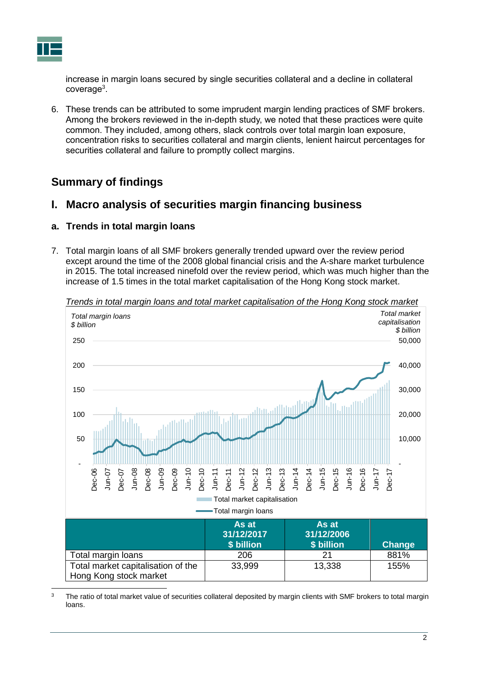

increase in margin loans secured by single securities collateral and a decline in collateral coverage<sup>3</sup>.

6. These trends can be attributed to some imprudent margin lending practices of SMF brokers. Among the brokers reviewed in the in-depth study, we noted that these practices were quite common. They included, among others, slack controls over total margin loan exposure, concentration risks to securities collateral and margin clients, lenient haircut percentages for securities collateral and failure to promptly collect margins.

## <span id="page-3-0"></span>**Summary of findings**

## <span id="page-3-1"></span>**I. Macro analysis of securities margin financing business**

## <span id="page-3-2"></span>**a. Trends in total margin loans**

7. Total margin loans of all SMF brokers generally trended upward over the review period except around the time of the 2008 global financial crisis and the A-share market turbulence in 2015. The total increased ninefold over the review period, which was much higher than the increase of 1.5 times in the total market capitalisation of the Hong Kong stock market.



*Trends in total margin loans and total market capitalisation of the Hong Kong stock market*

 $\overline{3}$ The ratio of total market value of securities collateral deposited by margin clients with SMF brokers to total margin loans.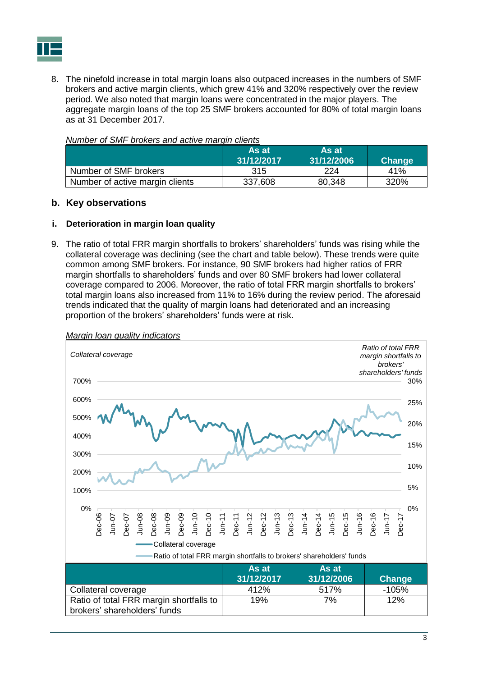

8. The ninefold increase in total margin loans also outpaced increases in the numbers of SMF brokers and active margin clients, which grew 41% and 320% respectively over the review period. We also noted that margin loans were concentrated in the major players. The aggregate margin loans of the top 25 SMF brokers accounted for 80% of total margin loans as at 31 December 2017.

|                                 | As at<br>31/12/2017 | ⊺As atı<br>31/12/2006 | <b>Change</b> |
|---------------------------------|---------------------|-----------------------|---------------|
| Number of SMF brokers           | 315                 | 224                   | 41%           |
| Number of active margin clients | 337,608             | 80,348                | 320%          |

### *Number of SMF brokers and active margin clients*

#### <span id="page-4-0"></span>**b. Key observations**

#### <span id="page-4-1"></span>**i. Deterioration in margin loan quality**

9. The ratio of total FRR margin shortfalls to brokers' shareholders' funds was rising while the collateral coverage was declining (see the chart and table below). These trends were quite common among SMF brokers. For instance, 90 SMF brokers had higher ratios of FRR margin shortfalls to shareholders' funds and over 80 SMF brokers had lower collateral coverage compared to 2006. Moreover, the ratio of total FRR margin shortfalls to brokers' total margin loans also increased from 11% to 16% during the review period. The aforesaid trends indicated that the quality of margin loans had deteriorated and an increasing proportion of the brokers' shareholders' funds were at risk.



*Margin loan quality indicators*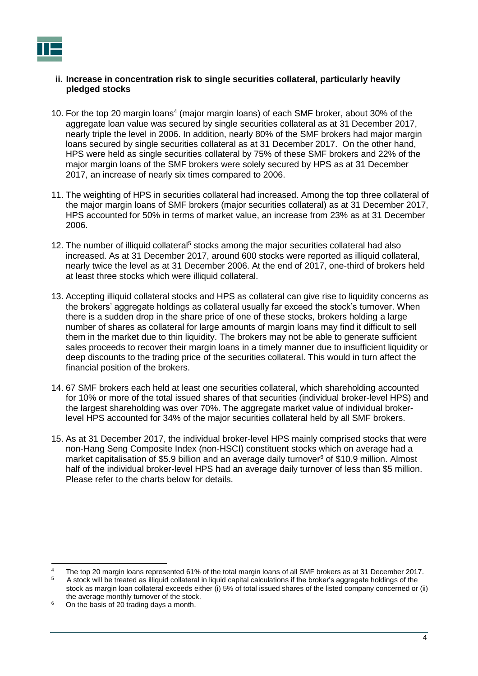#### <span id="page-5-0"></span>**ii. Increase in concentration risk to single securities collateral, particularly heavily pledged stocks**

- 10. For the top 20 margin loans<sup>4</sup> (major margin loans) of each SMF broker, about 30% of the aggregate loan value was secured by single securities collateral as at 31 December 2017, nearly triple the level in 2006. In addition, nearly 80% of the SMF brokers had major margin loans secured by single securities collateral as at 31 December 2017. On the other hand, HPS were held as single securities collateral by 75% of these SMF brokers and 22% of the major margin loans of the SMF brokers were solely secured by HPS as at 31 December 2017, an increase of nearly six times compared to 2006.
- 11. The weighting of HPS in securities collateral had increased. Among the top three collateral of the major margin loans of SMF brokers (major securities collateral) as at 31 December 2017, HPS accounted for 50% in terms of market value, an increase from 23% as at 31 December 2006.
- 12. The number of illiquid collateral<sup>5</sup> stocks among the major securities collateral had also increased. As at 31 December 2017, around 600 stocks were reported as illiquid collateral, nearly twice the level as at 31 December 2006. At the end of 2017, one-third of brokers held at least three stocks which were illiquid collateral.
- 13. Accepting illiquid collateral stocks and HPS as collateral can give rise to liquidity concerns as the brokers' aggregate holdings as collateral usually far exceed the stock's turnover. When there is a sudden drop in the share price of one of these stocks, brokers holding a large number of shares as collateral for large amounts of margin loans may find it difficult to sell them in the market due to thin liquidity. The brokers may not be able to generate sufficient sales proceeds to recover their margin loans in a timely manner due to insufficient liquidity or deep discounts to the trading price of the securities collateral. This would in turn affect the financial position of the brokers.
- 14. 67 SMF brokers each held at least one securities collateral, which shareholding accounted for 10% or more of the total issued shares of that securities (individual broker-level HPS) and the largest shareholding was over 70%. The aggregate market value of individual brokerlevel HPS accounted for 34% of the major securities collateral held by all SMF brokers.
- 15. As at 31 December 2017, the individual broker-level HPS mainly comprised stocks that were non-Hang Seng Composite Index (non-HSCI) constituent stocks which on average had a market capitalisation of \$5.9 billion and an average daily turnover<sup>6</sup> of \$10.9 million. Almost half of the individual broker-level HPS had an average daily turnover of less than \$5 million. Please refer to the charts below for details.

<sup>4</sup> The top 20 margin loans represented 61% of the total margin loans of all SMF brokers as at 31 December 2017.

<sup>5</sup> A stock will be treated as illiquid collateral in liquid capital calculations if the broker's aggregate holdings of the stock as margin loan collateral exceeds either (i) 5% of total issued shares of the listed company concerned or (ii) the average monthly turnover of the stock.

 $6$  On the basis of 20 trading days a month.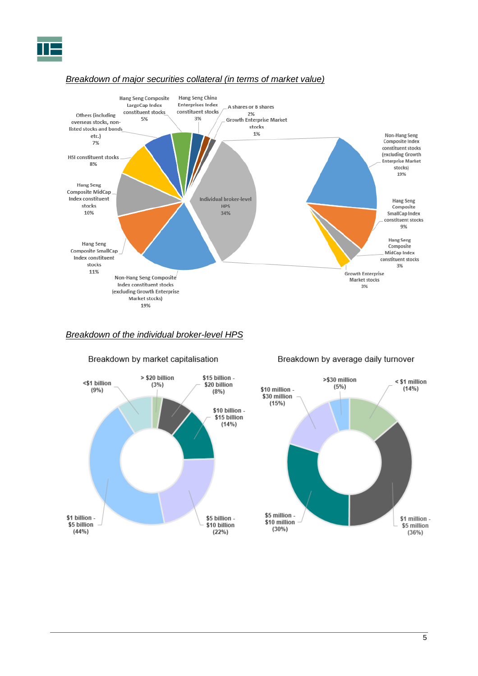

### *Breakdown of major securities collateral (in terms of market value)*



### *Breakdown of the individual broker-level HPS*



#### Breakdown by average daily turnover

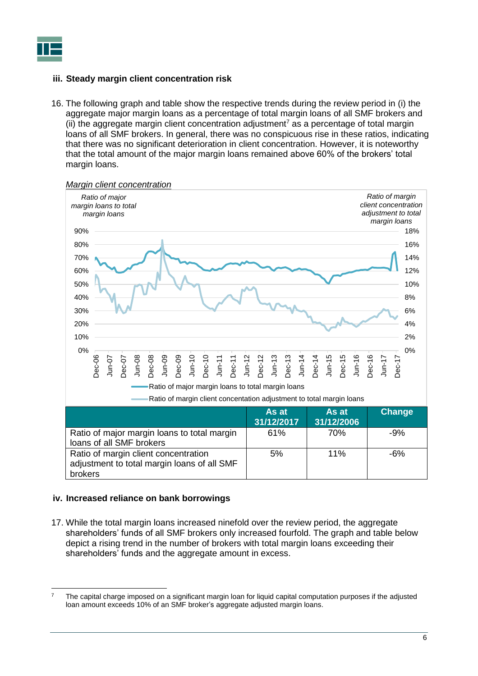

### <span id="page-7-0"></span>**iii. Steady margin client concentration risk**

16. The following graph and table show the respective trends during the review period in (i) the aggregate major margin loans as a percentage of total margin loans of all SMF brokers and (ii) the aggregate margin client concentration adjustment<sup>7</sup> as a percentage of total margin loans of all SMF brokers. In general, there was no conspicuous rise in these ratios, indicating that there was no significant deterioration in client concentration. However, it is noteworthy that the total amount of the major margin loans remained above 60% of the brokers' total margin loans.



#### <span id="page-7-1"></span>**iv. Increased reliance on bank borrowings**

17. While the total margin loans increased ninefold over the review period, the aggregate shareholders' funds of all SMF brokers only increased fourfold. The graph and table below depict a rising trend in the number of brokers with total margin loans exceeding their shareholders' funds and the aggregate amount in excess.

 $\overline{7}$ <sup>7</sup> The capital charge imposed on a significant margin loan for liquid capital computation purposes if the adjusted loan amount exceeds 10% of an SMF broker's aggregate adjusted margin loans.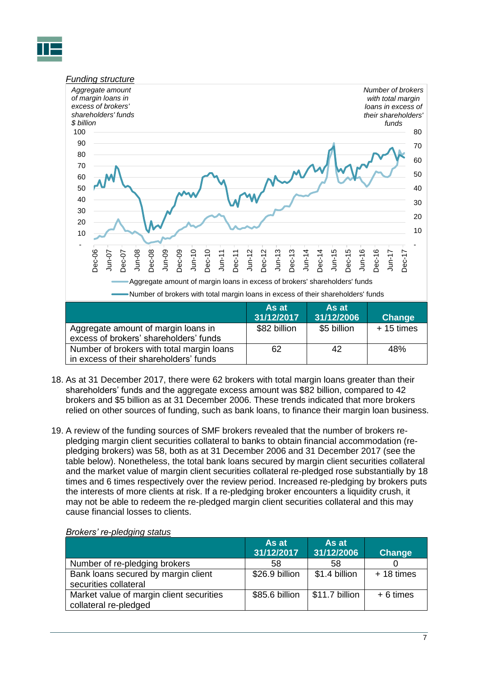



- 18. As at 31 December 2017, there were 62 brokers with total margin loans greater than their shareholders' funds and the aggregate excess amount was \$82 billion, compared to 42 brokers and \$5 billion as at 31 December 2006. These trends indicated that more brokers relied on other sources of funding, such as bank loans, to finance their margin loan business.
- 19. A review of the funding sources of SMF brokers revealed that the number of brokers repledging margin client securities collateral to banks to obtain financial accommodation (repledging brokers) was 58, both as at 31 December 2006 and 31 December 2017 (see the table below). Nonetheless, the total bank loans secured by margin client securities collateral and the market value of margin client securities collateral re-pledged rose substantially by 18 times and 6 times respectively over the review period. Increased re-pledging by brokers puts the interests of more clients at risk. If a re-pledging broker encounters a liquidity crush, it may not be able to redeem the re-pledged margin client securities collateral and this may cause financial losses to clients.

|                                                                   | As at<br>31/12/2017 | As at<br>31/12/2006 | <b>Change</b> |
|-------------------------------------------------------------------|---------------------|---------------------|---------------|
| Number of re-pledging brokers                                     | 58                  | 58                  |               |
| Bank loans secured by margin client<br>securities collateral      | \$26.9 billion      | \$1.4 billion       | $+18$ times   |
| Market value of margin client securities<br>collateral re-pledged | \$85.6 billion      | \$11.7 billion      | $+6$ times    |

#### *Brokers' re-pledging status*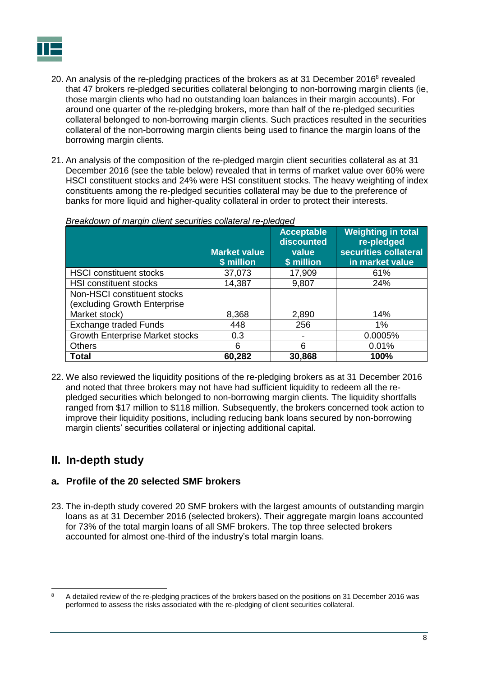

- 20. An analysis of the re-pledging practices of the brokers as at 31 December 2016<sup>8</sup> revealed that 47 brokers re-pledged securities collateral belonging to non-borrowing margin clients (ie, those margin clients who had no outstanding loan balances in their margin accounts). For around one quarter of the re-pledging brokers, more than half of the re-pledged securities collateral belonged to non-borrowing margin clients. Such practices resulted in the securities collateral of the non-borrowing margin clients being used to finance the margin loans of the borrowing margin clients.
- 21. An analysis of the composition of the re-pledged margin client securities collateral as at 31 December 2016 (see the table below) revealed that in terms of market value over 60% were HSCI constituent stocks and 24% were HSI constituent stocks. The heavy weighting of index constituents among the re-pledged securities collateral may be due to the preference of banks for more liquid and higher-quality collateral in order to protect their interests.

|                                        | <b>Market value</b><br>\$ million | <b>Acceptable</b><br>discounted<br>value<br>\$ million | <b>Weighting in total</b><br>re-pledged<br>securities collateral<br>in market value |
|----------------------------------------|-----------------------------------|--------------------------------------------------------|-------------------------------------------------------------------------------------|
| <b>HSCI</b> constituent stocks         | 37,073                            | 17,909                                                 | 61%                                                                                 |
| <b>HSI constituent stocks</b>          | 14,387                            | 9,807                                                  | 24%                                                                                 |
| Non-HSCI constituent stocks            |                                   |                                                        |                                                                                     |
| (excluding Growth Enterprise           |                                   |                                                        |                                                                                     |
| Market stock)                          | 8,368                             | 2,890                                                  | 14%                                                                                 |
| <b>Exchange traded Funds</b>           | 448                               | 256                                                    | 1%                                                                                  |
| <b>Growth Enterprise Market stocks</b> | 0.3                               |                                                        | 0.0005%                                                                             |
| <b>Others</b>                          | 6                                 | 6                                                      | 0.01%                                                                               |
| <b>Total</b>                           | 60,282                            | 30,868                                                 | 100%                                                                                |

### *Breakdown of margin client securities collateral re-pledged*

22. We also reviewed the liquidity positions of the re-pledging brokers as at 31 December 2016 and noted that three brokers may not have had sufficient liquidity to redeem all the repledged securities which belonged to non-borrowing margin clients. The liquidity shortfalls ranged from \$17 million to \$118 million. Subsequently, the brokers concerned took action to improve their liquidity positions, including reducing bank loans secured by non-borrowing margin clients' securities collateral or injecting additional capital.

## <span id="page-9-0"></span>**II. In-depth study**

## <span id="page-9-1"></span>**a. Profile of the 20 selected SMF brokers**

23. The in-depth study covered 20 SMF brokers with the largest amounts of outstanding margin loans as at 31 December 2016 (selected brokers). Their aggregate margin loans accounted for 73% of the total margin loans of all SMF brokers. The top three selected brokers accounted for almost one-third of the industry's total margin loans.

 $\theta$ <sup>8</sup> A detailed review of the re-pledging practices of the brokers based on the positions on 31 December 2016 was performed to assess the risks associated with the re-pledging of client securities collateral.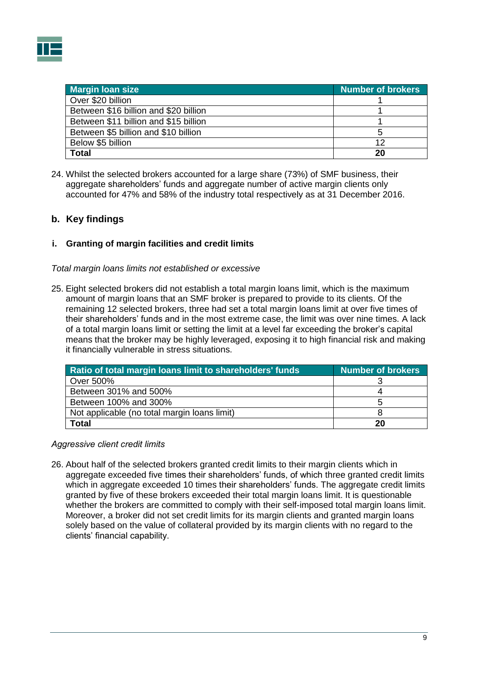

| <b>Margin loan size</b>               | <b>Number of brokers</b> |
|---------------------------------------|--------------------------|
| Over \$20 billion                     |                          |
| Between \$16 billion and \$20 billion |                          |
| Between \$11 billion and \$15 billion |                          |
| Between \$5 billion and \$10 billion  |                          |
| Below \$5 billion                     | 12                       |
| <b>Total</b>                          | 20                       |

24. Whilst the selected brokers accounted for a large share (73%) of SMF business, their aggregate shareholders' funds and aggregate number of active margin clients only accounted for 47% and 58% of the industry total respectively as at 31 December 2016.

## <span id="page-10-0"></span>**b. Key findings**

#### <span id="page-10-1"></span>**i. Granting of margin facilities and credit limits**

*Total margin loans limits not established or excessive*

25. Eight selected brokers did not establish a total margin loans limit, which is the maximum amount of margin loans that an SMF broker is prepared to provide to its clients. Of the remaining 12 selected brokers, three had set a total margin loans limit at over five times of their shareholders' funds and in the most extreme case, the limit was over nine times. A lack of a total margin loans limit or setting the limit at a level far exceeding the broker's capital means that the broker may be highly leveraged, exposing it to high financial risk and making it financially vulnerable in stress situations.

| Ratio of total margin loans limit to shareholders' funds | Number of brokers |
|----------------------------------------------------------|-------------------|
| Over 500%                                                |                   |
| Between 301% and 500%                                    |                   |
| Between 100% and 300%                                    |                   |
| Not applicable (no total margin loans limit)             |                   |
| Total                                                    | 20                |

#### *Aggressive client credit limits*

26. About half of the selected brokers granted credit limits to their margin clients which in aggregate exceeded five times their shareholders' funds, of which three granted credit limits which in aggregate exceeded 10 times their shareholders' funds. The aggregate credit limits granted by five of these brokers exceeded their total margin loans limit. It is questionable whether the brokers are committed to comply with their self-imposed total margin loans limit. Moreover, a broker did not set credit limits for its margin clients and granted margin loans solely based on the value of collateral provided by its margin clients with no regard to the clients' financial capability.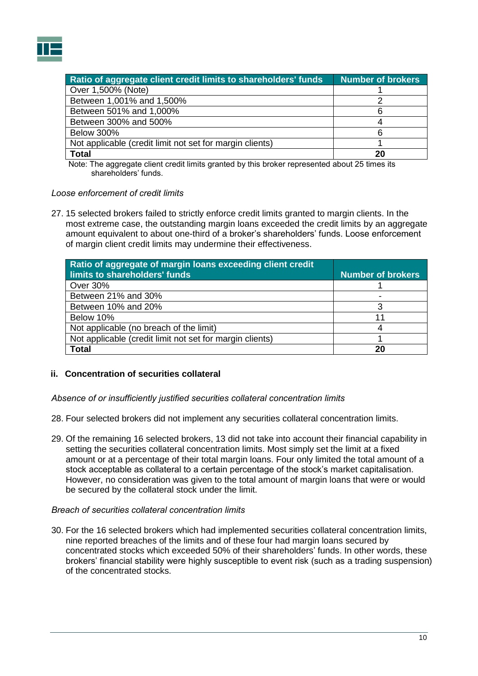

| Ratio of aggregate client credit limits to shareholders' funds | <b>Number of brokers</b> |
|----------------------------------------------------------------|--------------------------|
| Over 1,500% (Note)                                             |                          |
| Between 1,001% and 1,500%                                      |                          |
| Between 501% and 1,000%                                        |                          |
| Between 300% and 500%                                          |                          |
| <b>Below 300%</b>                                              |                          |
| Not applicable (credit limit not set for margin clients)       |                          |
| <b>Total</b>                                                   | 20                       |

Note: The aggregate client credit limits granted by this broker represented about 25 times its shareholders' funds.

#### *Loose enforcement of credit limits*

27. 15 selected brokers failed to strictly enforce credit limits granted to margin clients. In the most extreme case, the outstanding margin loans exceeded the credit limits by an aggregate amount equivalent to about one-third of a broker's shareholders' funds. Loose enforcement of margin client credit limits may undermine their effectiveness.

| Ratio of aggregate of margin loans exceeding client credit<br>limits to shareholders' funds | <b>Number of brokers</b> |
|---------------------------------------------------------------------------------------------|--------------------------|
| Over 30%                                                                                    |                          |
| Between 21% and 30%                                                                         |                          |
| Between 10% and 20%                                                                         |                          |
| Below 10%                                                                                   |                          |
| Not applicable (no breach of the limit)                                                     |                          |
| Not applicable (credit limit not set for margin clients)                                    |                          |
| <b>Total</b>                                                                                | 20                       |

#### <span id="page-11-0"></span>**ii. Concentration of securities collateral**

*Absence of or insufficiently justified securities collateral concentration limits*

- 28. Four selected brokers did not implement any securities collateral concentration limits.
- 29. Of the remaining 16 selected brokers, 13 did not take into account their financial capability in setting the securities collateral concentration limits. Most simply set the limit at a fixed amount or at a percentage of their total margin loans. Four only limited the total amount of a stock acceptable as collateral to a certain percentage of the stock's market capitalisation. However, no consideration was given to the total amount of margin loans that were or would be secured by the collateral stock under the limit.

#### *Breach of securities collateral concentration limits*

30. For the 16 selected brokers which had implemented securities collateral concentration limits, nine reported breaches of the limits and of these four had margin loans secured by concentrated stocks which exceeded 50% of their shareholders' funds. In other words, these brokers' financial stability were highly susceptible to event risk (such as a trading suspension) of the concentrated stocks.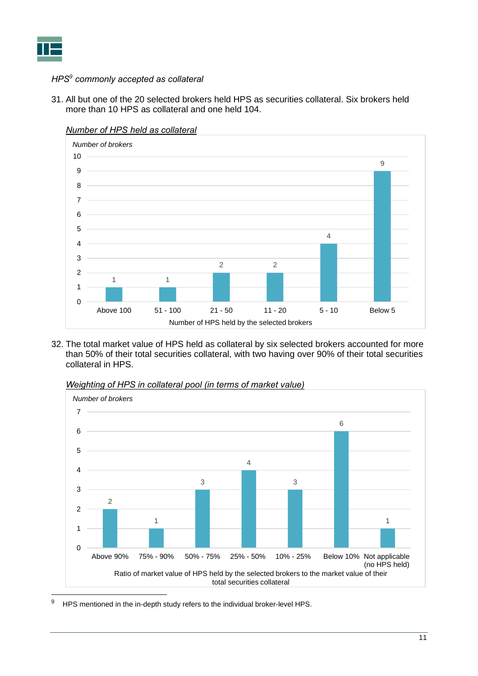

## *HPS<sup>9</sup> commonly accepted as collateral*

31. All but one of the 20 selected brokers held HPS as securities collateral. Six brokers held more than 10 HPS as collateral and one held 104.



*Number of HPS held as collateral*

32. The total market value of HPS held as collateral by six selected brokers accounted for more than 50% of their total securities collateral, with two having over 90% of their total securities collateral in HPS.



*Weighting of HPS in collateral pool (in terms of market value)*

HPS mentioned in the in-depth study refers to the individual broker-level HPS.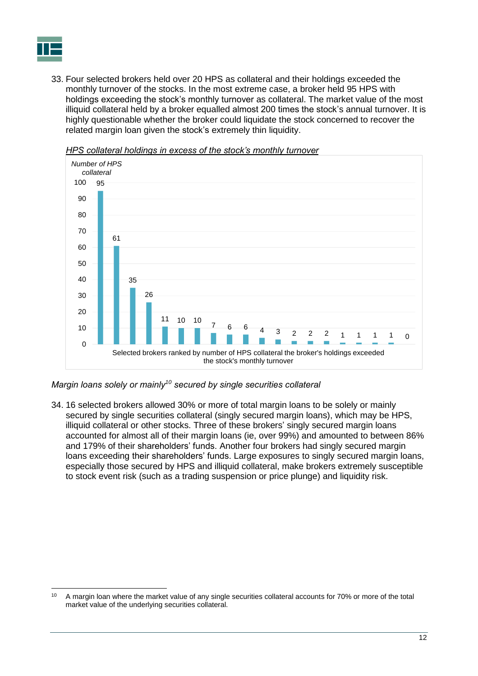

33. Four selected brokers held over 20 HPS as collateral and their holdings exceeded the monthly turnover of the stocks. In the most extreme case, a broker held 95 HPS with holdings exceeding the stock's monthly turnover as collateral. The market value of the most illiquid collateral held by a broker equalled almost 200 times the stock's annual turnover. It is highly questionable whether the broker could liquidate the stock concerned to recover the related margin loan given the stock's extremely thin liquidity.



*HPS collateral holdings in excess of the stock's monthly turnover*

*Margin loans solely or mainly<sup>10</sup> secured by single securities collateral*

34. 16 selected brokers allowed 30% or more of total margin loans to be solely or mainly secured by single securities collateral (singly secured margin loans), which may be HPS, illiquid collateral or other stocks. Three of these brokers' singly secured margin loans accounted for almost all of their margin loans (ie, over 99%) and amounted to between 86% and 179% of their shareholders' funds. Another four brokers had singly secured margin loans exceeding their shareholders' funds. Large exposures to singly secured margin loans, especially those secured by HPS and illiquid collateral, make brokers extremely susceptible to stock event risk (such as a trading suspension or price plunge) and liquidity risk.

 $10$ A margin loan where the market value of any single securities collateral accounts for 70% or more of the total market value of the underlying securities collateral.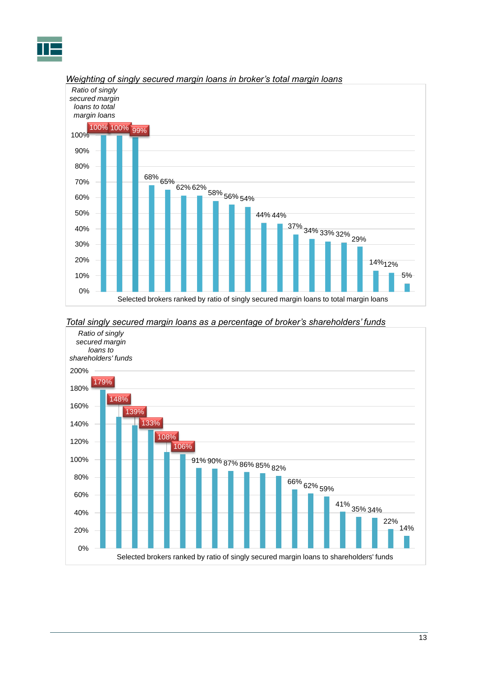



#### *Weighting of singly secured margin loans in broker's total margin loans*

#### *Total singly secured margin loans as a percentage of broker's shareholders' funds*

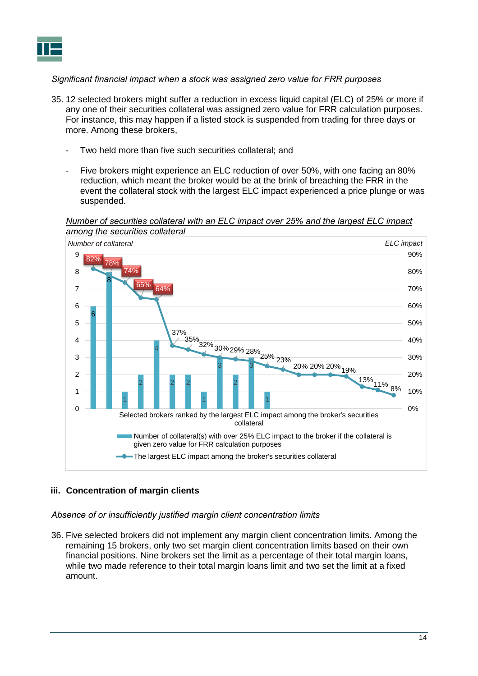## *Significant financial impact when a stock was assigned zero value for FRR purposes*

- 35. 12 selected brokers might suffer a reduction in excess liquid capital (ELC) of 25% or more if any one of their securities collateral was assigned zero value for FRR calculation purposes. For instance, this may happen if a listed stock is suspended from trading for three days or more. Among these brokers,
	- Two held more than five such securities collateral; and
	- Five brokers might experience an ELC reduction of over 50%, with one facing an 80% reduction, which meant the broker would be at the brink of breaching the FRR in the event the collateral stock with the largest ELC impact experienced a price plunge or was suspended.

*Number of securities collateral with an ELC impact over 25% and the largest ELC impact among the securities collateral*



## <span id="page-15-0"></span>**iii. Concentration of margin clients**

*Absence of or insufficiently justified margin client concentration limits*

36. Five selected brokers did not implement any margin client concentration limits. Among the remaining 15 brokers, only two set margin client concentration limits based on their own financial positions. Nine brokers set the limit as a percentage of their total margin loans, while two made reference to their total margin loans limit and two set the limit at a fixed amount.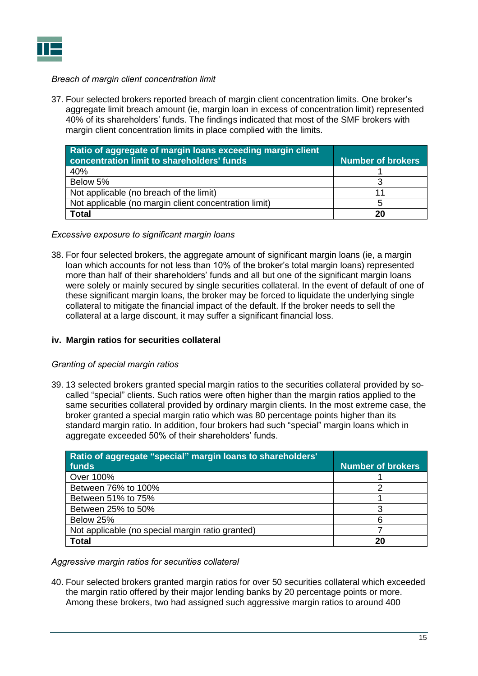## *Breach of margin client concentration limit*

37. Four selected brokers reported breach of margin client concentration limits. One broker's aggregate limit breach amount (ie, margin loan in excess of concentration limit) represented 40% of its shareholders' funds. The findings indicated that most of the SMF brokers with margin client concentration limits in place complied with the limits.

| Ratio of aggregate of margin loans exceeding margin client<br>concentration limit to shareholders' funds | <b>Number of brokers</b> |
|----------------------------------------------------------------------------------------------------------|--------------------------|
| 40%                                                                                                      |                          |
| Below 5%                                                                                                 |                          |
| Not applicable (no breach of the limit)                                                                  |                          |
| Not applicable (no margin client concentration limit)                                                    |                          |
| <b>Total</b>                                                                                             | 20                       |

*Excessive exposure to significant margin loans*

38. For four selected brokers, the aggregate amount of significant margin loans (ie, a margin loan which accounts for not less than 10% of the broker's total margin loans) represented more than half of their shareholders' funds and all but one of the significant margin loans were solely or mainly secured by single securities collateral. In the event of default of one of these significant margin loans, the broker may be forced to liquidate the underlying single collateral to mitigate the financial impact of the default. If the broker needs to sell the collateral at a large discount, it may suffer a significant financial loss.

#### <span id="page-16-0"></span>**iv. Margin ratios for securities collateral**

#### *Granting of special margin ratios*

39. 13 selected brokers granted special margin ratios to the securities collateral provided by socalled "special" clients. Such ratios were often higher than the margin ratios applied to the same securities collateral provided by ordinary margin clients. In the most extreme case, the broker granted a special margin ratio which was 80 percentage points higher than its standard margin ratio. In addition, four brokers had such "special" margin loans which in aggregate exceeded 50% of their shareholders' funds.

| Ratio of aggregate "special" margin loans to shareholders' |                          |
|------------------------------------------------------------|--------------------------|
| funds                                                      | <b>Number of brokers</b> |
| Over 100%                                                  |                          |
| Between 76% to 100%                                        |                          |
| Between 51% to 75%                                         |                          |
| Between 25% to 50%                                         |                          |
| Below 25%                                                  |                          |
| Not applicable (no special margin ratio granted)           |                          |
| <b>Total</b>                                               |                          |

*Aggressive margin ratios for securities collateral* 

40. Four selected brokers granted margin ratios for over 50 securities collateral which exceeded the margin ratio offered by their major lending banks by 20 percentage points or more. Among these brokers, two had assigned such aggressive margin ratios to around 400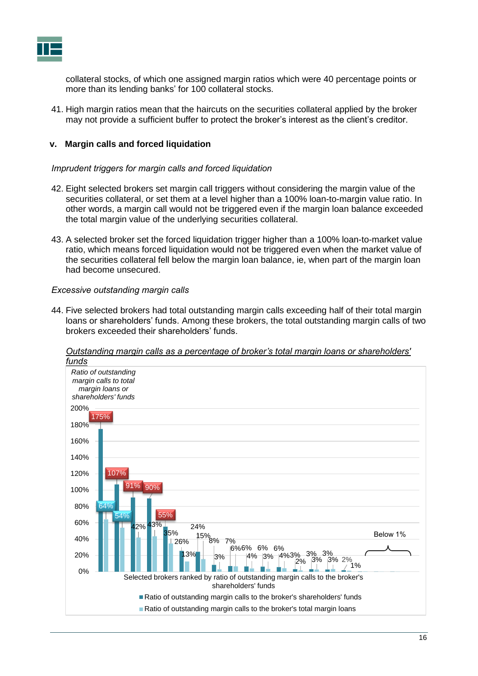collateral stocks, of which one assigned margin ratios which were 40 percentage points or more than its lending banks' for 100 collateral stocks.

41. High margin ratios mean that the haircuts on the securities collateral applied by the broker may not provide a sufficient buffer to protect the broker's interest as the client's creditor.

#### <span id="page-17-0"></span>**v. Margin calls and forced liquidation**

#### *Imprudent triggers for margin calls and forced liquidation*

- 42. Eight selected brokers set margin call triggers without considering the margin value of the securities collateral, or set them at a level higher than a 100% loan-to-margin value ratio. In other words, a margin call would not be triggered even if the margin loan balance exceeded the total margin value of the underlying securities collateral.
- 43. A selected broker set the forced liquidation trigger higher than a 100% loan-to-market value ratio, which means forced liquidation would not be triggered even when the market value of the securities collateral fell below the margin loan balance, ie, when part of the margin loan had become unsecured.

#### *Excessive outstanding margin calls*

44. Five selected brokers had total outstanding margin calls exceeding half of their total margin loans or shareholders' funds. Among these brokers, the total outstanding margin calls of two brokers exceeded their shareholders' funds.



*Outstanding margin calls as a percentage of broker's total margin loans or shareholders' funds*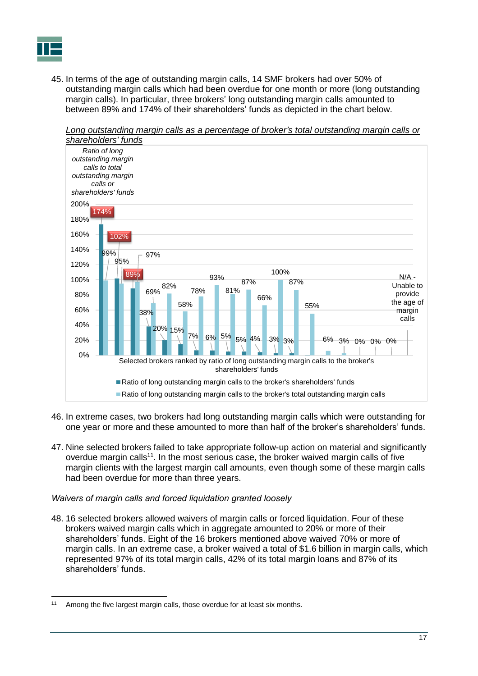45. In terms of the age of outstanding margin calls, 14 SMF brokers had over 50% of outstanding margin calls which had been overdue for one month or more (long outstanding margin calls). In particular, three brokers' long outstanding margin calls amounted to between 89% and 174% of their shareholders' funds as depicted in the chart below.



*Long outstanding margin calls as a percentage of broker's total outstanding margin calls or*

- 46. In extreme cases, two brokers had long outstanding margin calls which were outstanding for one year or more and these amounted to more than half of the broker's shareholders' funds.
- 47. Nine selected brokers failed to take appropriate follow-up action on material and significantly overdue margin calls<sup>11</sup>. In the most serious case, the broker waived margin calls of five margin clients with the largest margin call amounts, even though some of these margin calls had been overdue for more than three years.

#### *Waivers of margin calls and forced liquidation granted loosely*

48. 16 selected brokers allowed waivers of margin calls or forced liquidation. Four of these brokers waived margin calls which in aggregate amounted to 20% or more of their shareholders' funds. Eight of the 16 brokers mentioned above waived 70% or more of margin calls. In an extreme case, a broker waived a total of \$1.6 billion in margin calls, which represented 97% of its total margin calls, 42% of its total margin loans and 87% of its shareholders' funds.

 $\overline{a}$ <sup>11</sup> Among the five largest margin calls, those overdue for at least six months.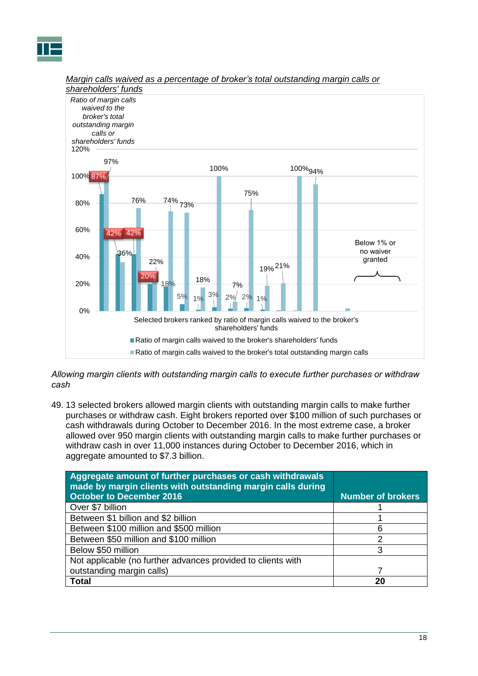



## *Margin calls waived as a percentage of broker's total outstanding margin calls or*

*Allowing margin clients with outstanding margin calls to execute further purchases or withdraw cash*

49. 13 selected brokers allowed margin clients with outstanding margin calls to make further purchases or withdraw cash. Eight brokers reported over \$100 million of such purchases or cash withdrawals during October to December 2016. In the most extreme case, a broker allowed over 950 margin clients with outstanding margin calls to make further purchases or withdraw cash in over 11,000 instances during October to December 2016, which in aggregate amounted to \$7.3 billion.

| Aggregate amount of further purchases or cash withdrawals<br>made by margin clients with outstanding margin calls during<br>October to December 2016 | <b>Number of brokers</b> |
|------------------------------------------------------------------------------------------------------------------------------------------------------|--------------------------|
|                                                                                                                                                      |                          |
| Over \$7 billion                                                                                                                                     |                          |
| Between \$1 billion and \$2 billion                                                                                                                  |                          |
| Between \$100 million and \$500 million                                                                                                              |                          |
| Between \$50 million and \$100 million                                                                                                               | っ                        |
| Below \$50 million                                                                                                                                   | З                        |
| Not applicable (no further advances provided to clients with                                                                                         |                          |
| outstanding margin calls)                                                                                                                            |                          |
| Total                                                                                                                                                | 21                       |